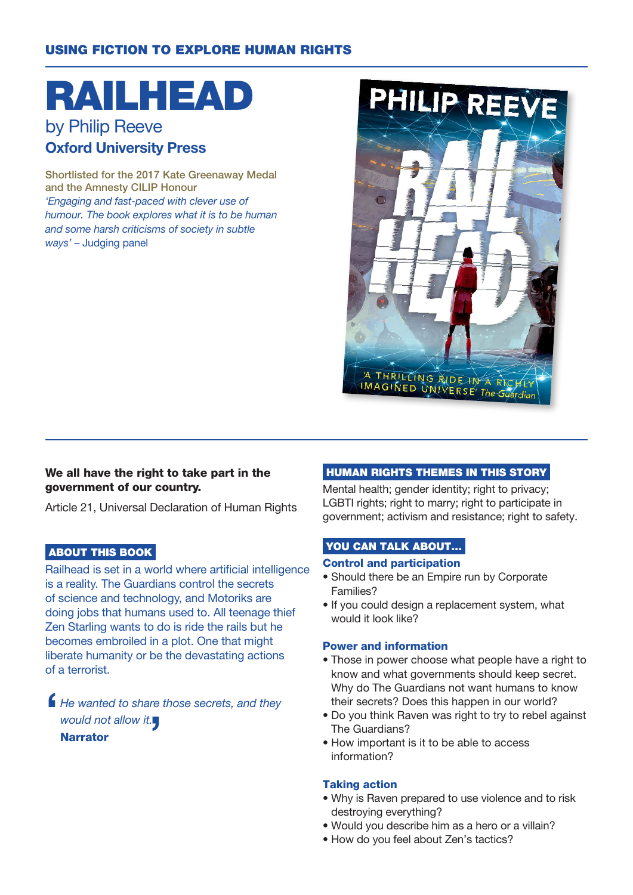## USING FICTION TO EXPLORE HUMAN RIGHTS

# RAILHEAD

# by Philip Reeve Oxford University Press

Shortlisted for the 2017 Kate Greenaway Medal and the Amnesty CILIP Honour 'Engaging and fast-paced with clever use of humour. The book explores what it is to be human and some harsh criticisms of society in subtle ways' – Judging panel



#### We all have the right to take part in the government of our country.

Article 21, Universal Declaration of Human Rights

#### ABOUT THIS BOOK

Railhead is set in a world where artificial intelligence is a reality. The Guardians control the secrets of science and technology, and Motoriks are doing jobs that humans used to. All teenage thief Zen Starling wants to do is ride the rails but he becomes embroiled in a plot. One that might liberate humanity or be the devastating actions of a terrorist.

 $\blacksquare$ He wanted to share those secrets, and they would not allow it. Narrator

#### HUMAN RIGHTS THEMES IN THIS STORY

Mental health; gender identity; right to privacy; LGBTI rights; right to marry; right to participate in government; activism and resistance; right to safety.

#### YOU CAN TALK ABOUT...

#### Control and participation

- Should there be an Empire run by Corporate Families?
- If you could design a replacement system, what would it look like?

#### Power and information

- Those in power choose what people have a right to know and what governments should keep secret. Why do The Guardians not want humans to know their secrets? Does this happen in our world?
- Do you think Raven was right to try to rebel against The Guardians?
- How important is it to be able to access information?

#### Taking action

- Why is Raven prepared to use violence and to risk destroying everything?
- Would you describe him as a hero or a villain?
- How do you feel about Zen's tactics?